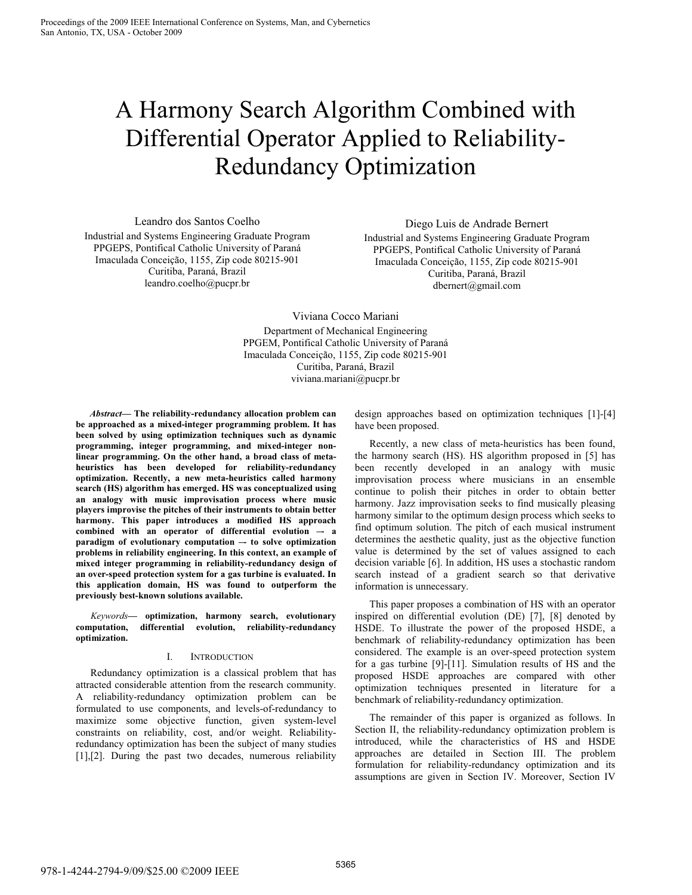# A Harmony Search Algorithm Combined with Differential Operator Applied to Reliability-Redundancy Optimization

Leandro dos Santos Coelho Industrial and Systems Engineering Graduate Program PPGEPS, Pontifical Catholic University of Paraná Imaculada Conceição, 1155, Zip code 80215-901 Curitiba, Paraná, Brazil leandro.coelho@pucpr.br

Diego Luis de Andrade Bernert Industrial and Systems Engineering Graduate Program PPGEPS, Pontifical Catholic University of Paraná Imaculada Conceição, 1155, Zip code 80215-901 Curitiba, Paraná, Brazil dbernert@gmail.com

Viviana Cocco Mariani Department of Mechanical Engineering PPGEM, Pontifical Catholic University of Paraná Imaculada Conceição, 1155, Zip code 80215-901 Curitiba, Paraná, Brazil viviana.mariani@pucpr.br

*Abstract***— The reliability-redundancy allocation problem can be approached as a mixed-integer programming problem. It has been solved by using optimization techniques such as dynamic programming, integer programming, and mixed-integer nonlinear programming. On the other hand, a broad class of metaheuristics has been developed for reliability-redundancy optimization. Recently, a new meta-heuristics called harmony search (HS) algorithm has emerged. HS was conceptualized using an analogy with music improvisation process where music players improvise the pitches of their instruments to obtain better harmony. This paper introduces a modified HS approach combined with an operator of differential evolution –- a paradigm of evolutionary computation –- to solve optimization problems in reliability engineering. In this context, an example of mixed integer programming in reliability-redundancy design of an over-speed protection system for a gas turbine is evaluated. In this application domain, HS was found to outperform the previously best-known solutions available.** 

*Keywords—* **optimization, harmony search, evolutionary computation, differential evolution, reliability-redundancy optimization.**

# I. INTRODUCTION

Redundancy optimization is a classical problem that has attracted considerable attention from the research community. A reliability-redundancy optimization problem can be formulated to use components, and levels-of-redundancy to maximize some objective function, given system-level constraints on reliability, cost, and/or weight. Reliabilityredundancy optimization has been the subject of many studies [1],[2]. During the past two decades, numerous reliability

design approaches based on optimization techniques [1]-[4] have been proposed.

Recently, a new class of meta-heuristics has been found, the harmony search (HS). HS algorithm proposed in [5] has been recently developed in an analogy with music improvisation process where musicians in an ensemble continue to polish their pitches in order to obtain better harmony. Jazz improvisation seeks to find musically pleasing harmony similar to the optimum design process which seeks to find optimum solution. The pitch of each musical instrument determines the aesthetic quality, just as the objective function value is determined by the set of values assigned to each decision variable [6]. In addition, HS uses a stochastic random search instead of a gradient search so that derivative information is unnecessary.

This paper proposes a combination of HS with an operator inspired on differential evolution (DE) [7], [8] denoted by HSDE. To illustrate the power of the proposed HSDE, a benchmark of reliability-redundancy optimization has been considered. The example is an over-speed protection system for a gas turbine [9]-[11]. Simulation results of HS and the proposed HSDE approaches are compared with other optimization techniques presented in literature for a benchmark of reliability-redundancy optimization.

The remainder of this paper is organized as follows. In Section II, the reliability-redundancy optimization problem is introduced, while the characteristics of HS and HSDE approaches are detailed in Section III. The problem formulation for reliability-redundancy optimization and its assumptions are given in Section IV. Moreover, Section IV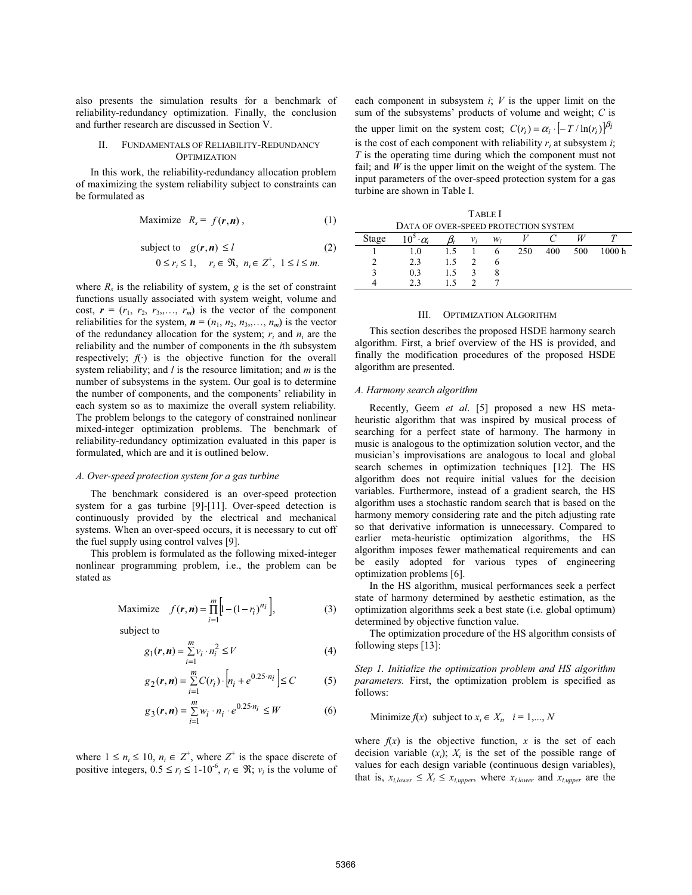also presents the simulation results for a benchmark of reliability-redundancy optimization. Finally, the conclusion and further research are discussed in Section V.

## II. FUNDAMENTALS OF RELIABILITY-REDUNDANCY **OPTIMIZATION**

In this work, the reliability-redundancy allocation problem of maximizing the system reliability subject to constraints can be formulated as

$$
\text{Maximize} \quad R_s = f(\mathbf{r}, \mathbf{n}) \,, \tag{1}
$$

subject to 
$$
g(r,n) \le l
$$
 (2)  
  $0 \le r_i \le 1$ ,  $r_i \in \mathfrak{R}$ ,  $n_i \in Z^+$ ,  $1 \le i \le m$ .

where  $R_s$  is the reliability of system,  $g$  is the set of constraint functions usually associated with system weight, volume and cost,  $\mathbf{r} = (r_1, r_2, r_3, \dots, r_m)$  is the vector of the component reliabilities for the system,  $\mathbf{n} = (n_1, n_2, n_3, \dots, n_m)$  is the vector of the redundancy allocation for the system; *ri* and *ni* are the reliability and the number of components in the *i*th subsystem respectively;  $f(\cdot)$  is the objective function for the overall system reliability; and *l* is the resource limitation; and *m* is the number of subsystems in the system. Our goal is to determine the number of components, and the components' reliability in each system so as to maximize the overall system reliability. The problem belongs to the category of constrained nonlinear mixed-integer optimization problems. The benchmark of reliability-redundancy optimization evaluated in this paper is formulated, which are and it is outlined below.

## *A. Over-speed protection system for a gas turbine*

The benchmark considered is an over-speed protection system for a gas turbine [9]-[11]. Over-speed detection is continuously provided by the electrical and mechanical systems. When an over-speed occurs, it is necessary to cut off the fuel supply using control valves [9].

This problem is formulated as the following mixed-integer nonlinear programming problem, i.e., the problem can be stated as

Maximize 
$$
f(\mathbf{r}, \mathbf{n}) = \prod_{i=1}^{m} \Big[ 1 - (1 - r_i)^{n_i} \Big],
$$
 (3)

subject to

$$
g_1(\mathbf{r}, \mathbf{n}) = \sum_{i=1}^{m} v_i \cdot n_i^2 \le V \tag{4}
$$

$$
g_2(r, n) = \sum_{i=1}^{m} C(r_i) \cdot \left[ n_i + e^{0.25 \cdot n_i} \right] \le C \tag{5}
$$

$$
g_3(r, n) = \sum_{i=1}^{m} w_i \cdot n_i \cdot e^{0.25 \cdot n_i} \le W \tag{6}
$$

where  $1 \le n_i \le 10$ ,  $n_i \in \mathbb{Z}^+$ , where  $\mathbb{Z}^+$  is the space discrete of positive integers,  $0.5 \le r_i \le 1\times10^{-6}$ ,  $r_i \in \Re$ ;  $v_i$  is the volume of

each component in subsystem *i*; *V* is the upper limit on the sum of the subsystems' products of volume and weight; *C* is the upper limit on the system cost;  $C(r_i) = \alpha_i \cdot \left[-T/\ln(r_i)\right]^{\beta_i}$ is the cost of each component with reliability  $r_i$  at subsystem  $i$ ; *T* is the operating time during which the component must not fail; and  $W$  is the upper limit on the weight of the system. The input parameters of the over-speed protection system for a gas turbine are shown in Table I.

|       |                                      | TARLE I |     |                 |               |      |
|-------|--------------------------------------|---------|-----|-----------------|---------------|------|
|       | DATA OF OVER-SPEED PROTECTION SYSTEM |         |     |                 |               |      |
| Stage | $10^3 \cdot \alpha_i$                |         |     |                 |               |      |
|       |                                      |         | 250 | $\Delta \Omega$ | $\epsilon$ 00 | 1000 |

| Stage $10^3 \cdot \alpha_i$ $\beta_i$ $v_i$ $w_i$ $V$ C $W$ T |            |  |  |  |
|---------------------------------------------------------------|------------|--|--|--|
| 1 1.0 1.5 1 6 250 400 500 1000 h                              |            |  |  |  |
| 2.3 1.5 2                                                     |            |  |  |  |
| $0.3$ 1.5 3                                                   |            |  |  |  |
| 2.3                                                           | $1.5 \t 2$ |  |  |  |

#### III. OPTIMIZATION ALGORITHM

This section describes the proposed HSDE harmony search algorithm. First, a brief overview of the HS is provided, and finally the modification procedures of the proposed HSDE algorithm are presented.

## *A. Harmony search algorithm*

Recently, Geem *et al*. [5] proposed a new HS metaheuristic algorithm that was inspired by musical process of searching for a perfect state of harmony. The harmony in music is analogous to the optimization solution vector, and the musician's improvisations are analogous to local and global search schemes in optimization techniques [12]. The HS algorithm does not require initial values for the decision variables. Furthermore, instead of a gradient search, the HS algorithm uses a stochastic random search that is based on the harmony memory considering rate and the pitch adjusting rate so that derivative information is unnecessary. Compared to earlier meta-heuristic optimization algorithms, the HS algorithm imposes fewer mathematical requirements and can be easily adopted for various types of engineering optimization problems [6].

In the HS algorithm, musical performances seek a perfect state of harmony determined by aesthetic estimation, as the optimization algorithms seek a best state (i.e. global optimum) determined by objective function value.

The optimization procedure of the HS algorithm consists of following steps [13]:

*Step 1. Initialize the optimization problem and HS algorithm parameters.* First, the optimization problem is specified as follows:

Minimize  $f(x)$  subject to  $x_i \in X_i$ ,  $i = 1,..., N$ 

where  $f(x)$  is the objective function, x is the set of each decision variable  $(x_i)$ ;  $X_i$  is the set of the possible range of values for each design variable (continuous design variables), that is,  $x_{i, lower} \leq X_i \leq x_{i,upper}$ , where  $x_{i,lower}$  and  $x_{i,upper}$  are the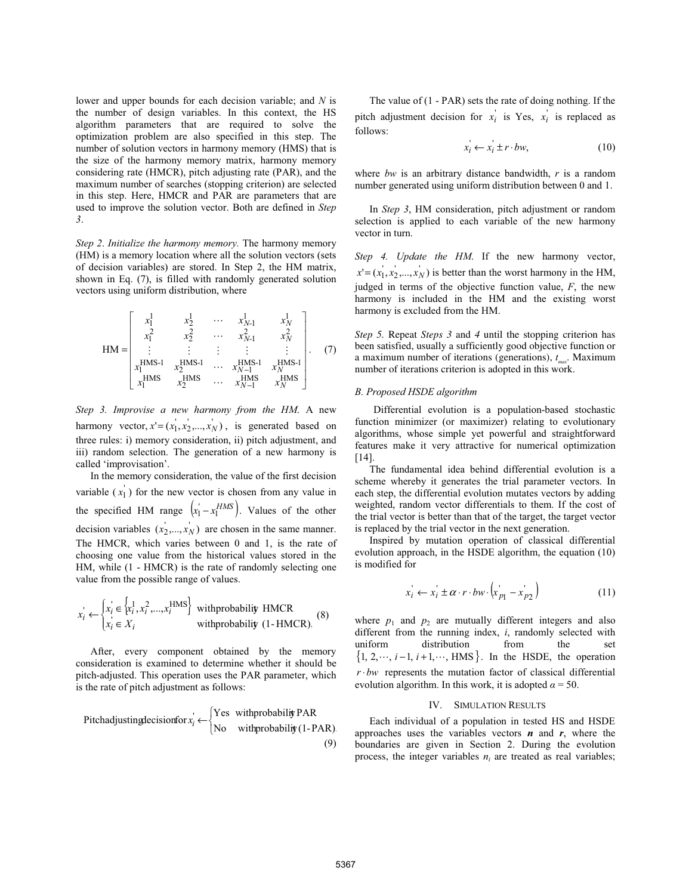lower and upper bounds for each decision variable; and *N* is the number of design variables. In this context, the HS algorithm parameters that are required to solve the optimization problem are also specified in this step. The number of solution vectors in harmony memory (HMS) that is the size of the harmony memory matrix, harmony memory considering rate (HMCR), pitch adjusting rate (PAR), and the maximum number of searches (stopping criterion) are selected in this step. Here, HMCR and PAR are parameters that are used to improve the solution vector. Both are defined in *Step 3*.

*Step 2*. *Initialize the harmony memory.* The harmony memory (HM) is a memory location where all the solution vectors (sets of decision variables) are stored. In Step 2, the HM matrix, shown in Eq. (7), is filled with randomly generated solution vectors using uniform distribution, where

$$
HM = \begin{bmatrix} x_1^1 & x_2^1 & \cdots & x_{N-1}^1 & x_N^1 \\ x_1^2 & x_2^2 & \cdots & x_{N-1}^2 & x_N^2 \\ \vdots & \vdots & \vdots & \vdots & \vdots \\ x_1^{\text{HMS-1}} & x_2^{\text{HMS-1}} & \cdots & x_{N-1}^{\text{HMS-1}} & x_N^{\text{HMS-1}} \\ x_1^{\text{HMS}} & x_2^{\text{HMS}} & \cdots & x_{N-1}^{\text{MMS}} & x_N^{\text{HMS}} \end{bmatrix} . \quad (7)
$$

*Step 3. Improvise a new harmony from the HM*. A new harmony vector,  $x' = (x_1, x_2, ..., x_N)$ , is generated based on three rules: i) memory consideration, ii) pitch adjustment, and iii) random selection. The generation of a new harmony is called 'improvisation'.

In the memory consideration, the value of the first decision variable  $(x_1)$  for the new vector is chosen from any value in the specified HM range  $\left(x_1 - x_1^{HMS}\right)$ . Values of the other decision variables  $(x_2, ..., x_N)$  are chosen in the same manner. The HMCR, which varies between 0 and 1, is the rate of choosing one value from the historical values stored in the HM, while (1 - HMCR) is the rate of randomly selecting one value from the possible range of values.

$$
x_i \leftarrow \begin{cases} x_i \in \begin{cases} x_i & \text{HMS} \\ x_i \in X_i & \text{withprobability (1-HMCR)} \end{cases} \end{cases}
$$

After, every component obtained by the memory consideration is examined to determine whether it should be pitch-adjusted. This operation uses the PAR parameter, which is the rate of pitch adjustment as follows:

Pitchadjustingdecision for 
$$
x_i \leftarrow \begin{cases} Yes & \text{withprobability } PAR \\ No & \text{withprobability } (1-PAR). \end{cases}
$$
 (9)

The value of (1 - PAR) sets the rate of doing nothing. If the pitch adjustment decision for  $x_i$  is Yes,  $x_i$  is replaced as follows:

$$
x_i \leftarrow x_i \pm r \cdot bw,\tag{10}
$$

where *bw* is an arbitrary distance bandwidth, *r* is a random number generated using uniform distribution between 0 and 1.

In *Step 3*, HM consideration, pitch adjustment or random selection is applied to each variable of the new harmony vector in turn.

*Step 4. Update the HM*. If the new harmony vector,  $x' = (x_1, x_2, \dots, x_N)$  is better than the worst harmony in the HM, judged in terms of the objective function value, *F*, the new harmony is included in the HM and the existing worst harmony is excluded from the HM.

*Step 5.* Repeat *Steps 3* and *4* until the stopping criterion has been satisfied, usually a sufficiently good objective function or a maximum number of iterations (generations),  $t_{\text{max}}$ . Maximum number of iterations criterion is adopted in this work.

# *B. Proposed HSDE algorithm*

Differential evolution is a population-based stochastic function minimizer (or maximizer) relating to evolutionary algorithms, whose simple yet powerful and straightforward features make it very attractive for numerical optimization [14].

The fundamental idea behind differential evolution is a scheme whereby it generates the trial parameter vectors. In each step, the differential evolution mutates vectors by adding weighted, random vector differentials to them. If the cost of the trial vector is better than that of the target, the target vector is replaced by the trial vector in the next generation.

Inspired by mutation operation of classical differential evolution approach, in the HSDE algorithm, the equation (10) is modified for

$$
x_i \leftarrow x_i \pm \alpha \cdot r \cdot bw \cdot (x_{p_1}^{'} - x_{p_2}^{'} ) \tag{11}
$$

where  $p_1$  and  $p_2$  are mutually different integers and also different from the running index, *i*, randomly selected with uniform distribution from the set  $\{1, 2, \dots, i-1, i+1, \dots, \text{HMS}\}\$ . In the HSDE, the operation *r*⋅*bw* represents the mutation factor of classical differential evolution algorithm. In this work, it is adopted  $\alpha = 50$ .

#### IV. SIMULATION RESULTS

Each individual of a population in tested HS and HSDE approaches uses the variables vectors *n* and *r*, where the boundaries are given in Section 2. During the evolution process, the integer variables  $n_i$  are treated as real variables;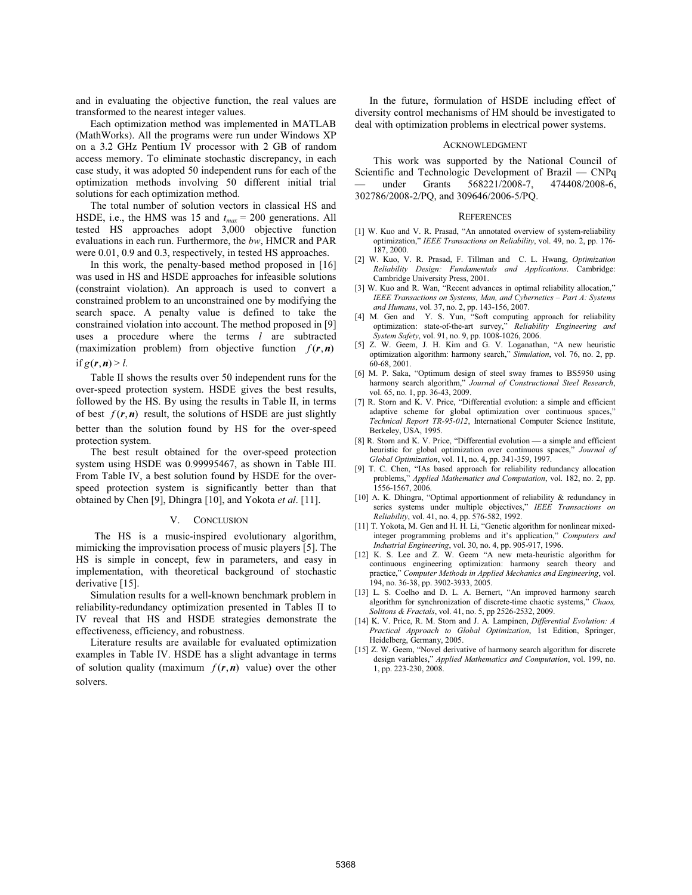and in evaluating the objective function, the real values are transformed to the nearest integer values.

Each optimization method was implemented in MATLAB (MathWorks). All the programs were run under Windows XP on a 3.2 GHz Pentium IV processor with 2 GB of random access memory. To eliminate stochastic discrepancy, in each case study, it was adopted 50 independent runs for each of the optimization methods involving 50 different initial trial solutions for each optimization method.

The total number of solution vectors in classical HS and HSDE, i.e., the HMS was 15 and  $t_{max} = 200$  generations. All tested HS approaches adopt 3,000 objective function evaluations in each run. Furthermore, the *bw*, HMCR and PAR were 0.01, 0.9 and 0.3, respectively, in tested HS approaches.

In this work, the penalty-based method proposed in [16] was used in HS and HSDE approaches for infeasible solutions (constraint violation). An approach is used to convert a constrained problem to an unconstrained one by modifying the search space. A penalty value is defined to take the constrained violation into account. The method proposed in [9] uses a procedure where the terms *l* are subtracted (maximization problem) from objective function  $f(\mathbf{r}, \mathbf{n})$ if  $g(r,n) > l$ .

Table II shows the results over 50 independent runs for the over-speed protection system. HSDE gives the best results, followed by the HS. By using the results in Table II, in terms of best  $f(\mathbf{r}, \mathbf{n})$  result, the solutions of HSDE are just slightly better than the solution found by HS for the over-speed protection system.

The best result obtained for the over-speed protection system using HSDE was 0.99995467, as shown in Table III. From Table IV, a best solution found by HSDE for the overspeed protection system is significantly better than that obtained by Chen [9], Dhingra [10], and Yokota *et al*. [11].

#### V. CONCLUSION

The HS is a music-inspired evolutionary algorithm, mimicking the improvisation process of music players [5]. The HS is simple in concept, few in parameters, and easy in implementation, with theoretical background of stochastic derivative [15].

Simulation results for a well-known benchmark problem in reliability-redundancy optimization presented in Tables II to IV reveal that HS and HSDE strategies demonstrate the effectiveness, efficiency, and robustness.

Literature results are available for evaluated optimization examples in Table IV. HSDE has a slight advantage in terms of solution quality (maximum  $f(r,n)$  value) over the other solvers.

In the future, formulation of HSDE including effect of diversity control mechanisms of HM should be investigated to deal with optimization problems in electrical power systems.

#### ACKNOWLEDGMENT

This work was supported by the National Council of Scientific and Technologic Development of Brazil — CNPq under Grants 568221/2008-7, 474408/2008-6, 302786/2008-2/PQ, and 309646/2006-5/PQ.

#### **REFERENCES**

- [1] W. Kuo and V. R. Prasad, "An annotated overview of system-reliability optimization," *IEEE Transactions on Reliability*, vol. 49, no. 2, pp. 176- 187, 2000.
- [2] W. Kuo, V. R. Prasad, F. Tillman and C. L. Hwang, *Optimization Reliability Design: Fundamentals and Applications*. Cambridge: Cambridge University Press, 2001.
- [3] W. Kuo and R. Wan, "Recent advances in optimal reliability allocation," *IEEE Transactions on Systems, Man, and Cybernetics – Part A: Systems and Humans*, vol. 37, no. 2, pp. 143-156, 2007.
- [4] M. Gen and Y. S. Yun, "Soft computing approach for reliability optimization: state-of-the-art survey," *Reliability Engineering and System Safety*, vol. 91, no. 9, pp. 1008-1026, 2006.
- [5] Z. W. Geem, J. H. Kim and G. V. Loganathan, "A new heuristic optimization algorithm: harmony search," *Simulation*, vol. 76, no. 2, pp. 60-68, 2001.
- [6] M. P. Saka, "Optimum design of steel sway frames to BS5950 using harmony search algorithm," *Journal of Constructional Steel Research*, vol. 65, no. 1, pp. 36-43, 2009.
- [7] R. Storn and K. V. Price, "Differential evolution: a simple and efficient adaptive scheme for global optimization over continuous spaces,' *Technical Report TR-95-012*, International Computer Science Institute, Berkeley, USA, 1995.
- [8] R. Storn and K. V. Price, "Differential evolution a simple and efficient heuristic for global optimization over continuous spaces," *Journal of Global Optimization*, vol. 11, no. 4, pp. 341-359, 1997.
- [9] T. C. Chen, "IAs based approach for reliability redundancy allocation problems," *Applied Mathematics and Computation*, vol. 182, no. 2, pp. 1556-1567, 2006.
- [10] A. K. Dhingra, "Optimal apportionment of reliability & redundancy in series systems under multiple objectives," *IEEE Transactions on Reliability*, vol. 41, no. 4, pp. 576-582, 1992.
- [11] T. Yokota, M. Gen and H. H. Li, "Genetic algorithm for nonlinear mixedinteger programming problems and it's application," *Computers and Industrial Engineering*, vol. 30, no. 4, pp. 905-917, 1996.
- [12] K. S. Lee and Z. W. Geem "A new meta-heuristic algorithm for continuous engineering optimization: harmony search theory and practice," *Computer Methods in Applied Mechanics and Engineering*, vol. 194, no. 36-38, pp. 3902-3933, 2005.
- [13] L. S. Coelho and D. L. A. Bernert, "An improved harmony search algorithm for synchronization of discrete-time chaotic systems," *Chaos, Solitons & Fractals*, vol. 41, no. 5, pp 2526-2532, 2009.
- [14] K. V. Price, R. M. Storn and J. A. Lampinen, *Differential Evolution: A Practical Approach to Global Optimization*, 1st Edition, Springer, Heidelberg, Germany, 2005.
- [15] Z. W. Geem, "Novel derivative of harmony search algorithm for discrete design variables," *Applied Mathematics and Computation*, vol. 199, no. 1, pp. 223-230, 2008.